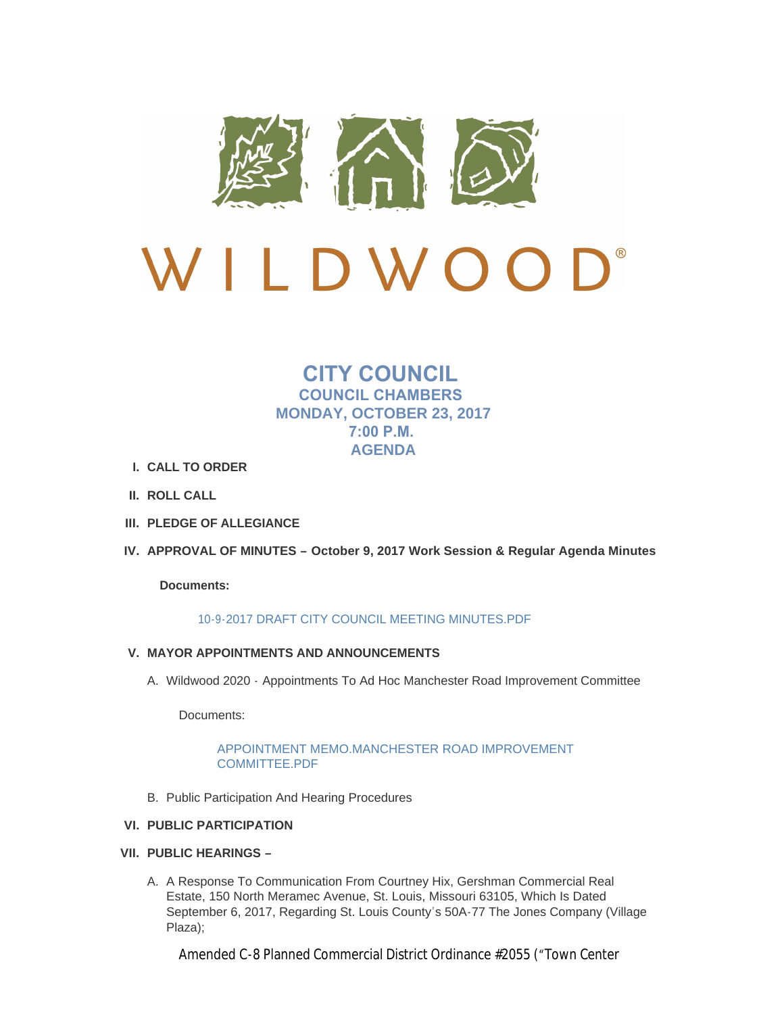

# $\bigcup$ <sup>®</sup> LDWOO

# **CITY COUNCIL COUNCIL CHAMBERS MONDAY, OCTOBER 23, 2017 7:00 P.M. AGENDA**

- **CALL TO ORDER I.**
- **ROLL CALL II.**
- **PLEDGE OF ALLEGIANCE III.**
- **APPROVAL OF MINUTES – October 9, 2017 Work Session & Regular Agenda Minutes IV.**

# **Documents:**

# [10-9-2017 DRAFT CITY COUNCIL MEETING MINUTES.PDF](http://cityofwildwood.com/AgendaCenter/ViewFile/Item/12689?fileID=18654)

- **MAYOR APPOINTMENTS AND ANNOUNCEMENTS V.**
	- A. Wildwood 2020 Appointments To Ad Hoc Manchester Road Improvement Committee

Documents:

# [APPOINTMENT MEMO.MANCHESTER ROAD IMPROVEMENT](http://cityofwildwood.com/AgendaCenter/ViewFile/Item/12691?fileID=18705)  COMMITTEE.PDF

B. Public Participation And Hearing Procedures

# **PUBLIC PARTICIPATION VI.**

- **PUBLIC HEARINGS – VII.**
	- A. A Response To Communication From Courtney Hix, Gershman Commercial Real Estate, 150 North Meramec Avenue, St. Louis, Missouri 63105, Which Is Dated September 6, 2017, Regarding St. Louis County's 50A-77 The Jones Company (Village Plaza);

Amended C-8 Planned Commercial District Ordinance #2055 ("Town Center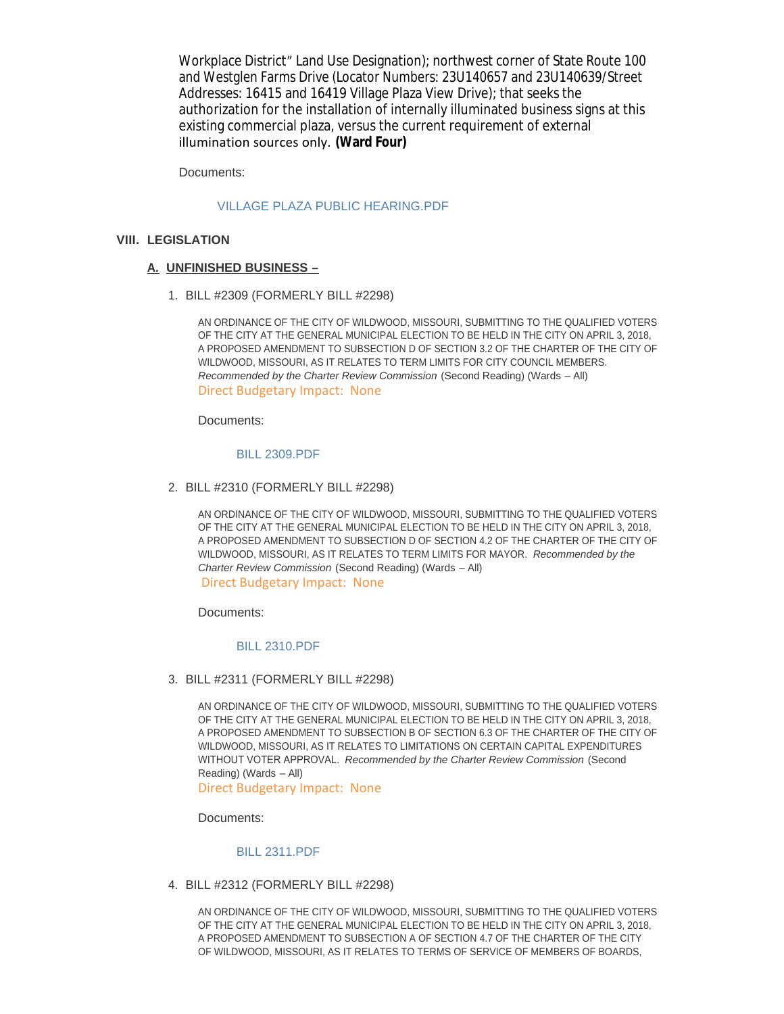$A$  -8  $P$  planned Commercial District Ordinance  $\mathcal{L}$ Workplace District" Land Use Designation); northwest corner of State Route 100 and Westglen Farms Drive (Locator Numbers: 23U140657 and 23U140639/Street Addresses: 16415 and 16419 Village Plaza View Drive); that seeks the authorization for the installation of internally illuminated business signs at this existing commercial plaza, versus the current requirement of external illumination sources only. **(Ward Four)**

Documents:

#### [VILLAGE PLAZA PUBLIC HEARING.PDF](http://cityofwildwood.com/AgendaCenter/ViewFile/Item/12695?fileID=18655)

#### **LEGISLATION VIII.**

#### **UNFINISHED BUSINESS – A.**

BILL #2309 (FORMERLY BILL #2298) 1.

AN ORDINANCE OF THE CITY OF WILDWOOD, MISSOURI, SUBMITTING TO THE QUALIFIED VOTERS OF THE CITY AT THE GENERAL MUNICIPAL ELECTION TO BE HELD IN THE CITY ON APRIL 3, 2018, A PROPOSED AMENDMENT TO SUBSECTION D OF SECTION 3.2 OF THE CHARTER OF THE CITY OF WILDWOOD, MISSOURI, AS IT RELATES TO TERM LIMITS FOR CITY COUNCIL MEMBERS. *Recommended by the Charter Review Commission* (Second Reading) (Wards – All) Direct Budgetary Impact: None

Documents:

#### [BILL 2309.PDF](http://cityofwildwood.com/AgendaCenter/ViewFile/Item/12698?fileID=18656)

BILL #2310 (FORMERLY BILL #2298) 2.

AN ORDINANCE OF THE CITY OF WILDWOOD, MISSOURI, SUBMITTING TO THE QUALIFIED VOTERS OF THE CITY AT THE GENERAL MUNICIPAL ELECTION TO BE HELD IN THE CITY ON APRIL 3, 2018, A PROPOSED AMENDMENT TO SUBSECTION D OF SECTION 4.2 OF THE CHARTER OF THE CITY OF WILDWOOD, MISSOURI, AS IT RELATES TO TERM LIMITS FOR MAYOR. *Recommended by the Charter Review Commission* (Second Reading) (Wards – All) Direct Budgetary Impact: None

Documents:

#### [BILL 2310.PDF](http://cityofwildwood.com/AgendaCenter/ViewFile/Item/12699?fileID=18657)

BILL #2311 (FORMERLY BILL #2298) 3.

AN ORDINANCE OF THE CITY OF WILDWOOD, MISSOURI, SUBMITTING TO THE QUALIFIED VOTERS OF THE CITY AT THE GENERAL MUNICIPAL ELECTION TO BE HELD IN THE CITY ON APRIL 3, 2018, A PROPOSED AMENDMENT TO SUBSECTION B OF SECTION 6.3 OF THE CHARTER OF THE CITY OF WILDWOOD, MISSOURI, AS IT RELATES TO LIMITATIONS ON CERTAIN CAPITAL EXPENDITURES WITHOUT VOTER APPROVAL. *Recommended by the Charter Review Commission* (Second Reading) (Wards – All)

Direct Budgetary Impact: None

Documents:

#### [BILL 2311.PDF](http://cityofwildwood.com/AgendaCenter/ViewFile/Item/12700?fileID=18658)

BILL #2312 (FORMERLY BILL #2298) 4.

AN ORDINANCE OF THE CITY OF WILDWOOD, MISSOURI, SUBMITTING TO THE QUALIFIED VOTERS OF THE CITY AT THE GENERAL MUNICIPAL ELECTION TO BE HELD IN THE CITY ON APRIL 3, 2018, A PROPOSED AMENDMENT TO SUBSECTION A OF SECTION 4.7 OF THE CHARTER OF THE CITY OF WILDWOOD, MISSOURI, AS IT RELATES TO TERMS OF SERVICE OF MEMBERS OF BOARDS,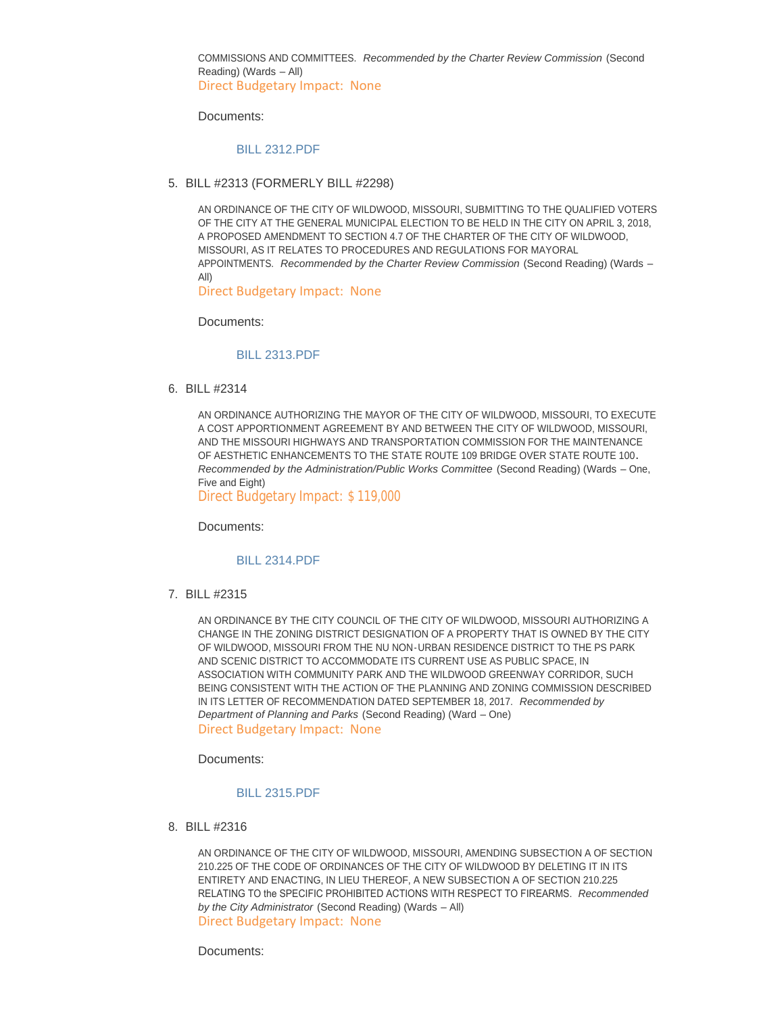COMMISSIONS AND COMMITTEES. *Recommended by the Charter Review Commission* (Second Reading) (Wards – All) Direct Budgetary Impact: None

Documents:

#### [BILL 2312.PDF](http://cityofwildwood.com/AgendaCenter/ViewFile/Item/12701?fileID=18659)

BILL #2313 (FORMERLY BILL #2298) 5.

AN ORDINANCE OF THE CITY OF WILDWOOD, MISSOURI, SUBMITTING TO THE QUALIFIED VOTERS OF THE CITY AT THE GENERAL MUNICIPAL ELECTION TO BE HELD IN THE CITY ON APRIL 3, 2018, A PROPOSED AMENDMENT TO SECTION 4.7 OF THE CHARTER OF THE CITY OF WILDWOOD, MISSOURI, AS IT RELATES TO PROCEDURES AND REGULATIONS FOR MAYORAL APPOINTMENTS. *Recommended by the Charter Review Commission* (Second Reading) (Wards – All)

Direct Budgetary Impact: None

Documents:

#### [BILL 2313.PDF](http://cityofwildwood.com/AgendaCenter/ViewFile/Item/12702?fileID=18660)

BILL #2314 6.

AN ORDINANCE AUTHORIZING THE MAYOR OF THE CITY OF WILDWOOD, MISSOURI, TO EXECUTE A COST APPORTIONMENT AGREEMENT BY AND BETWEEN THE CITY OF WILDWOOD, MISSOURI, AND THE MISSOURI HIGHWAYS AND TRANSPORTATION COMMISSION FOR THE MAINTENANCE OF AESTHETIC ENHANCEMENTS TO THE STATE ROUTE 109 BRIDGE OVER STATE ROUTE 100**.**  *Recommended by the Administration/Public Works Committee* (Second Reading) (Wards – One, Five and Eight)

Direct Budgetary Impact: \$ 119,000

Documents:

#### [BILL 2314.PDF](http://cityofwildwood.com/AgendaCenter/ViewFile/Item/12703?fileID=18678)

BILL #2315 7.

AN ORDINANCE BY THE CITY COUNCIL OF THE CITY OF WILDWOOD, MISSOURI AUTHORIZING A CHANGE IN THE ZONING DISTRICT DESIGNATION OF A PROPERTY THAT IS OWNED BY THE CITY OF WILDWOOD, MISSOURI FROM THE NU NON-URBAN RESIDENCE DISTRICT TO THE PS PARK AND SCENIC DISTRICT TO ACCOMMODATE ITS CURRENT USE AS PUBLIC SPACE, IN ASSOCIATION WITH COMMUNITY PARK AND THE WILDWOOD GREENWAY CORRIDOR, SUCH BEING CONSISTENT WITH THE ACTION OF THE PLANNING AND ZONING COMMISSION DESCRIBED IN ITS LETTER OF RECOMMENDATION DATED SEPTEMBER 18, 2017. *Recommended by Department of Planning and Parks* (Second Reading) (Ward – One) Direct Budgetary Impact: None

Documents:

#### [BILL 2315.PDF](http://cityofwildwood.com/AgendaCenter/ViewFile/Item/12704?fileID=18662)

BILL #2316 8.

AN ORDINANCE OF THE CITY OF WILDWOOD, MISSOURI, AMENDING SUBSECTION A OF SECTION 210.225 OF THE CODE OF ORDINANCES OF THE CITY OF WILDWOOD BY DELETING IT IN ITS ENTIRETY AND ENACTING, IN LIEU THEREOF, A NEW SUBSECTION A OF SECTION 210.225 RELATING TO the SPECIFIC PROHIBITED ACTIONS WITH RESPECT TO FIREARMS. *Recommended by the City Administrator* (Second Reading) (Wards – All) Direct Budgetary Impact: None

Documents: